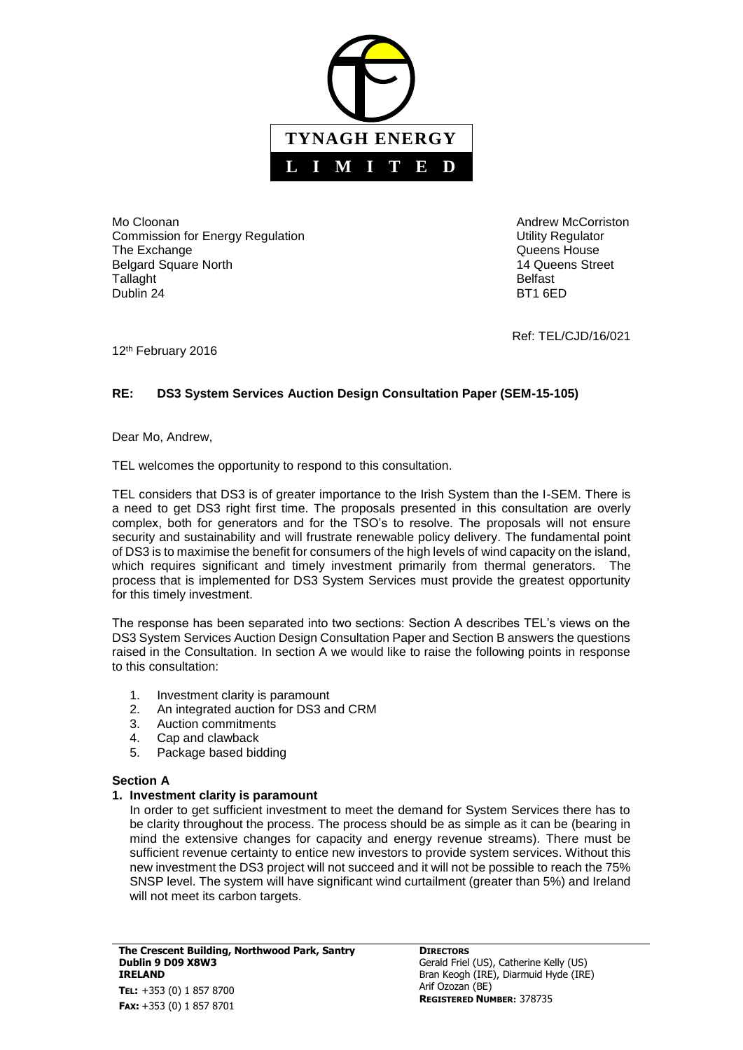

Mo Cloonan **Andrew McCorriston** Mo Cloonan Andrew McCorriston Commission for Energy Regulation **Energy Regulation** Commission for Energy Regulation The Exchange Calculation Controller and Controller and Controller and Controller and Controller and Controller<br>
The Exchange Controller and Controller and Controller and Controller and Controller and Controller and Control Belgard Square North Tallaght **Belfast** Dublin 24 BT1 6ED

Ref: TEL/CJD/16/021

12th February 2016

# **RE: DS3 System Services Auction Design Consultation Paper (SEM-15-105)**

Dear Mo, Andrew,

TEL welcomes the opportunity to respond to this consultation.

TEL considers that DS3 is of greater importance to the Irish System than the I-SEM. There is a need to get DS3 right first time. The proposals presented in this consultation are overly complex, both for generators and for the TSO's to resolve. The proposals will not ensure security and sustainability and will frustrate renewable policy delivery. The fundamental point of DS3 is to maximise the benefit for consumers of the high levels of wind capacity on the island, which requires significant and timely investment primarily from thermal generators. The process that is implemented for DS3 System Services must provide the greatest opportunity for this timely investment.

The response has been separated into two sections: Section A describes TEL's views on the DS3 System Services Auction Design Consultation Paper and Section B answers the questions raised in the Consultation. In section A we would like to raise the following points in response to this consultation:

- 1. Investment clarity is paramount
- 2. An integrated auction for DS3 and CRM
- 3. Auction commitments
- 4. Cap and clawback
- 5. Package based bidding

## **Section A**

## **1. Investment clarity is paramount**

In order to get sufficient investment to meet the demand for System Services there has to be clarity throughout the process. The process should be as simple as it can be (bearing in mind the extensive changes for capacity and energy revenue streams). There must be sufficient revenue certainty to entice new investors to provide system services. Without this new investment the DS3 project will not succeed and it will not be possible to reach the 75% SNSP level. The system will have significant wind curtailment (greater than 5%) and Ireland will not meet its carbon targets.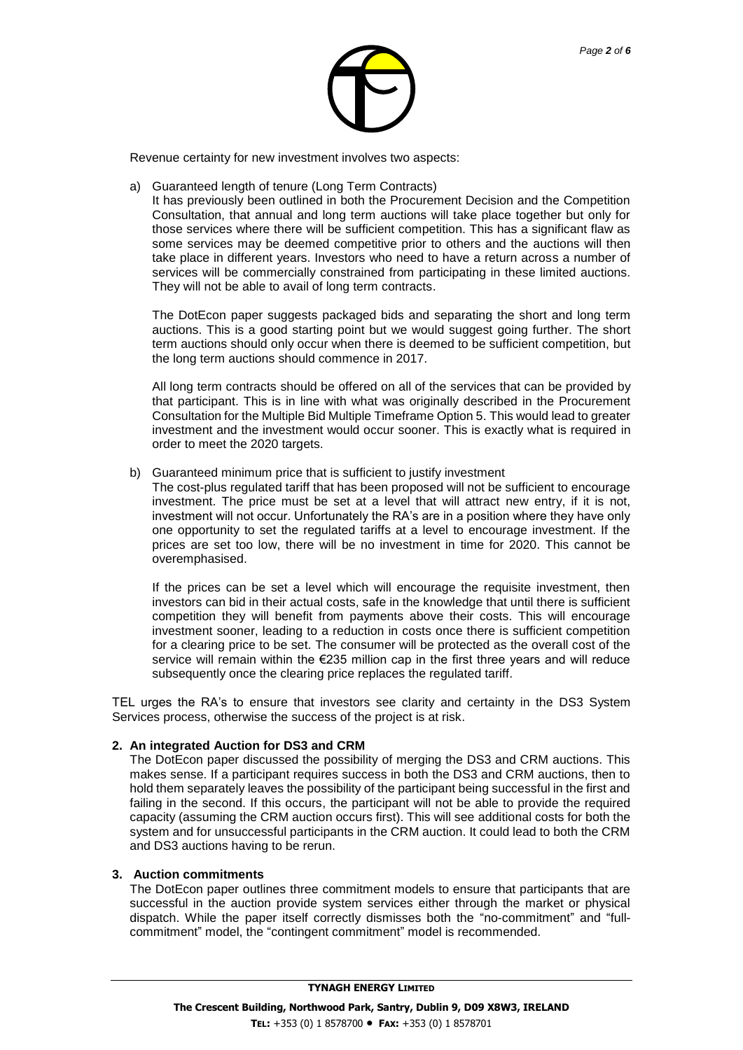

Revenue certainty for new investment involves two aspects:

a) Guaranteed length of tenure (Long Term Contracts)

It has previously been outlined in both the Procurement Decision and the Competition Consultation, that annual and long term auctions will take place together but only for those services where there will be sufficient competition. This has a significant flaw as some services may be deemed competitive prior to others and the auctions will then take place in different years. Investors who need to have a return across a number of services will be commercially constrained from participating in these limited auctions. They will not be able to avail of long term contracts.

The DotEcon paper suggests packaged bids and separating the short and long term auctions. This is a good starting point but we would suggest going further. The short term auctions should only occur when there is deemed to be sufficient competition, but the long term auctions should commence in 2017.

All long term contracts should be offered on all of the services that can be provided by that participant. This is in line with what was originally described in the Procurement Consultation for the Multiple Bid Multiple Timeframe Option 5. This would lead to greater investment and the investment would occur sooner. This is exactly what is required in order to meet the 2020 targets.

b) Guaranteed minimum price that is sufficient to justify investment

The cost-plus regulated tariff that has been proposed will not be sufficient to encourage investment. The price must be set at a level that will attract new entry, if it is not, investment will not occur. Unfortunately the RA's are in a position where they have only one opportunity to set the regulated tariffs at a level to encourage investment. If the prices are set too low, there will be no investment in time for 2020. This cannot be overemphasised.

If the prices can be set a level which will encourage the requisite investment, then investors can bid in their actual costs, safe in the knowledge that until there is sufficient competition they will benefit from payments above their costs. This will encourage investment sooner, leading to a reduction in costs once there is sufficient competition for a clearing price to be set. The consumer will be protected as the overall cost of the service will remain within the €235 million cap in the first three years and will reduce subsequently once the clearing price replaces the regulated tariff.

TEL urges the RA's to ensure that investors see clarity and certainty in the DS3 System Services process, otherwise the success of the project is at risk.

### **2. An integrated Auction for DS3 and CRM**

The DotEcon paper discussed the possibility of merging the DS3 and CRM auctions. This makes sense. If a participant requires success in both the DS3 and CRM auctions, then to hold them separately leaves the possibility of the participant being successful in the first and failing in the second. If this occurs, the participant will not be able to provide the required capacity (assuming the CRM auction occurs first). This will see additional costs for both the system and for unsuccessful participants in the CRM auction. It could lead to both the CRM and DS3 auctions having to be rerun.

### **3. Auction commitments**

The DotEcon paper outlines three commitment models to ensure that participants that are successful in the auction provide system services either through the market or physical dispatch. While the paper itself correctly dismisses both the "no-commitment" and "fullcommitment" model, the "contingent commitment" model is recommended.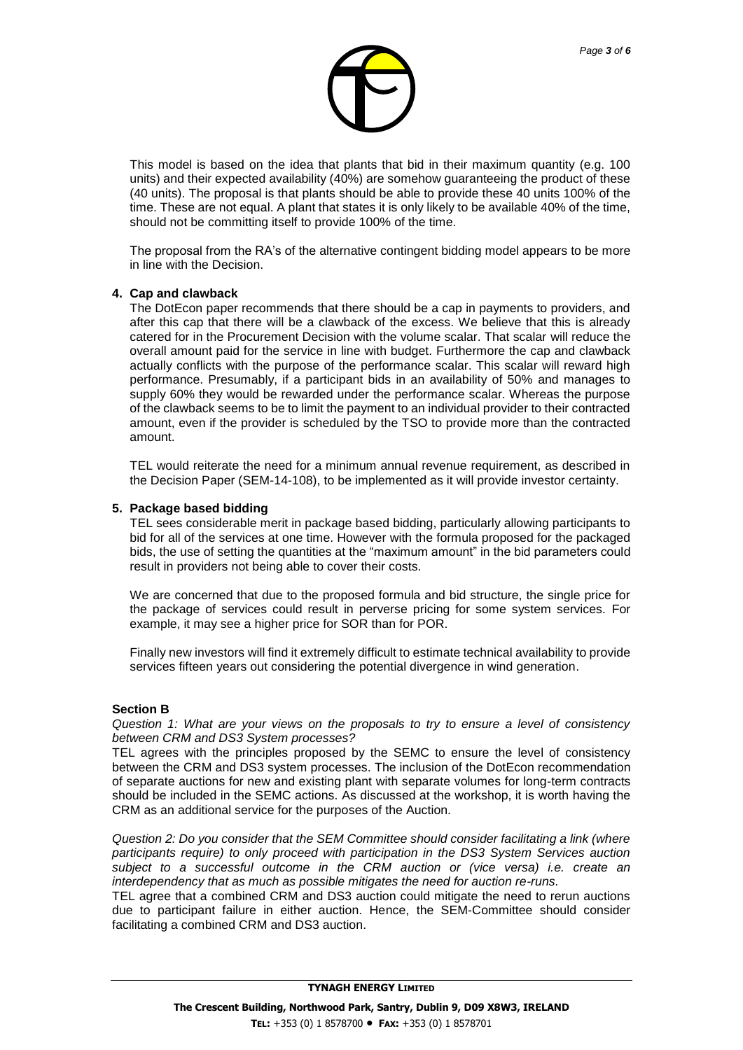

This model is based on the idea that plants that bid in their maximum quantity (e.g. 100 units) and their expected availability (40%) are somehow guaranteeing the product of these (40 units). The proposal is that plants should be able to provide these 40 units 100% of the time. These are not equal. A plant that states it is only likely to be available 40% of the time, should not be committing itself to provide 100% of the time.

The proposal from the RA's of the alternative contingent bidding model appears to be more in line with the Decision.

#### **4. Cap and clawback**

The DotEcon paper recommends that there should be a cap in payments to providers, and after this cap that there will be a clawback of the excess. We believe that this is already catered for in the Procurement Decision with the volume scalar. That scalar will reduce the overall amount paid for the service in line with budget. Furthermore the cap and clawback actually conflicts with the purpose of the performance scalar. This scalar will reward high performance. Presumably, if a participant bids in an availability of 50% and manages to supply 60% they would be rewarded under the performance scalar. Whereas the purpose of the clawback seems to be to limit the payment to an individual provider to their contracted amount, even if the provider is scheduled by the TSO to provide more than the contracted amount.

TEL would reiterate the need for a minimum annual revenue requirement, as described in the Decision Paper (SEM-14-108), to be implemented as it will provide investor certainty.

#### **5. Package based bidding**

TEL sees considerable merit in package based bidding, particularly allowing participants to bid for all of the services at one time. However with the formula proposed for the packaged bids, the use of setting the quantities at the "maximum amount" in the bid parameters could result in providers not being able to cover their costs.

We are concerned that due to the proposed formula and bid structure, the single price for the package of services could result in perverse pricing for some system services. For example, it may see a higher price for SOR than for POR.

Finally new investors will find it extremely difficult to estimate technical availability to provide services fifteen years out considering the potential divergence in wind generation.

#### **Section B**

*Question 1: What are your views on the proposals to try to ensure a level of consistency between CRM and DS3 System processes?*

TEL agrees with the principles proposed by the SEMC to ensure the level of consistency between the CRM and DS3 system processes. The inclusion of the DotEcon recommendation of separate auctions for new and existing plant with separate volumes for long-term contracts should be included in the SEMC actions. As discussed at the workshop, it is worth having the CRM as an additional service for the purposes of the Auction.

*Question 2: Do you consider that the SEM Committee should consider facilitating a link (where participants require) to only proceed with participation in the DS3 System Services auction subject to a successful outcome in the CRM auction or (vice versa) i.e. create an interdependency that as much as possible mitigates the need for auction re-runs.*

TEL agree that a combined CRM and DS3 auction could mitigate the need to rerun auctions due to participant failure in either auction. Hence, the SEM-Committee should consider facilitating a combined CRM and DS3 auction.

**TYNAGH ENERGY LIMITED**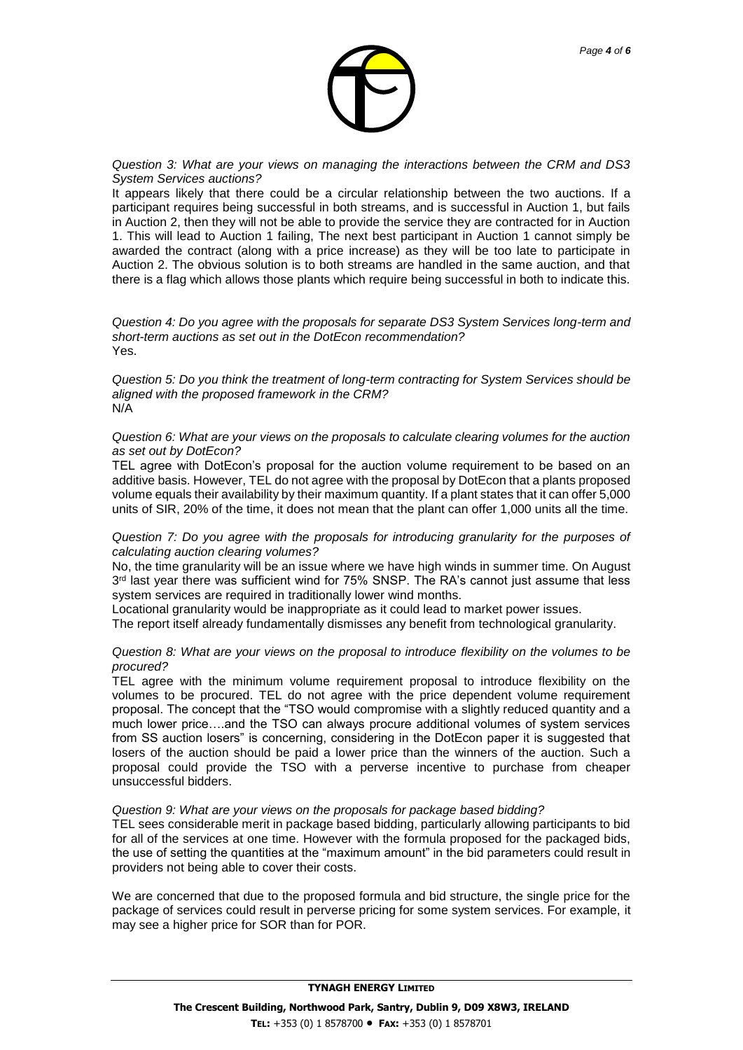

*Page 4 of 6*

*Question 3: What are your views on managing the interactions between the CRM and DS3 System Services auctions?*

It appears likely that there could be a circular relationship between the two auctions. If a participant requires being successful in both streams, and is successful in Auction 1, but fails in Auction 2, then they will not be able to provide the service they are contracted for in Auction 1. This will lead to Auction 1 failing, The next best participant in Auction 1 cannot simply be awarded the contract (along with a price increase) as they will be too late to participate in Auction 2. The obvious solution is to both streams are handled in the same auction, and that there is a flag which allows those plants which require being successful in both to indicate this.

*Question 4: Do you agree with the proposals for separate DS3 System Services long-term and short-term auctions as set out in the DotEcon recommendation?* Yes.

*Question 5: Do you think the treatment of long-term contracting for System Services should be aligned with the proposed framework in the CRM?* N/A

*Question 6: What are your views on the proposals to calculate clearing volumes for the auction as set out by DotEcon?*

TEL agree with DotEcon's proposal for the auction volume requirement to be based on an additive basis. However, TEL do not agree with the proposal by DotEcon that a plants proposed volume equals their availability by their maximum quantity. If a plant states that it can offer 5,000 units of SIR, 20% of the time, it does not mean that the plant can offer 1,000 units all the time.

*Question 7: Do you agree with the proposals for introducing granularity for the purposes of calculating auction clearing volumes?*

No, the time granularity will be an issue where we have high winds in summer time. On August  $3<sup>rd</sup>$  last year there was sufficient wind for 75% SNSP. The RA's cannot just assume that less system services are required in traditionally lower wind months.

Locational granularity would be inappropriate as it could lead to market power issues.

The report itself already fundamentally dismisses any benefit from technological granularity.

### *Question 8: What are your views on the proposal to introduce flexibility on the volumes to be procured?*

TEL agree with the minimum volume requirement proposal to introduce flexibility on the volumes to be procured. TEL do not agree with the price dependent volume requirement proposal. The concept that the "TSO would compromise with a slightly reduced quantity and a much lower price….and the TSO can always procure additional volumes of system services from SS auction losers" is concerning, considering in the DotEcon paper it is suggested that losers of the auction should be paid a lower price than the winners of the auction. Such a proposal could provide the TSO with a perverse incentive to purchase from cheaper unsuccessful bidders.

### *Question 9: What are your views on the proposals for package based bidding?*

TEL sees considerable merit in package based bidding, particularly allowing participants to bid for all of the services at one time. However with the formula proposed for the packaged bids, the use of setting the quantities at the "maximum amount" in the bid parameters could result in providers not being able to cover their costs.

We are concerned that due to the proposed formula and bid structure, the single price for the package of services could result in perverse pricing for some system services. For example, it may see a higher price for SOR than for POR.

**TYNAGH ENERGY LIMITED**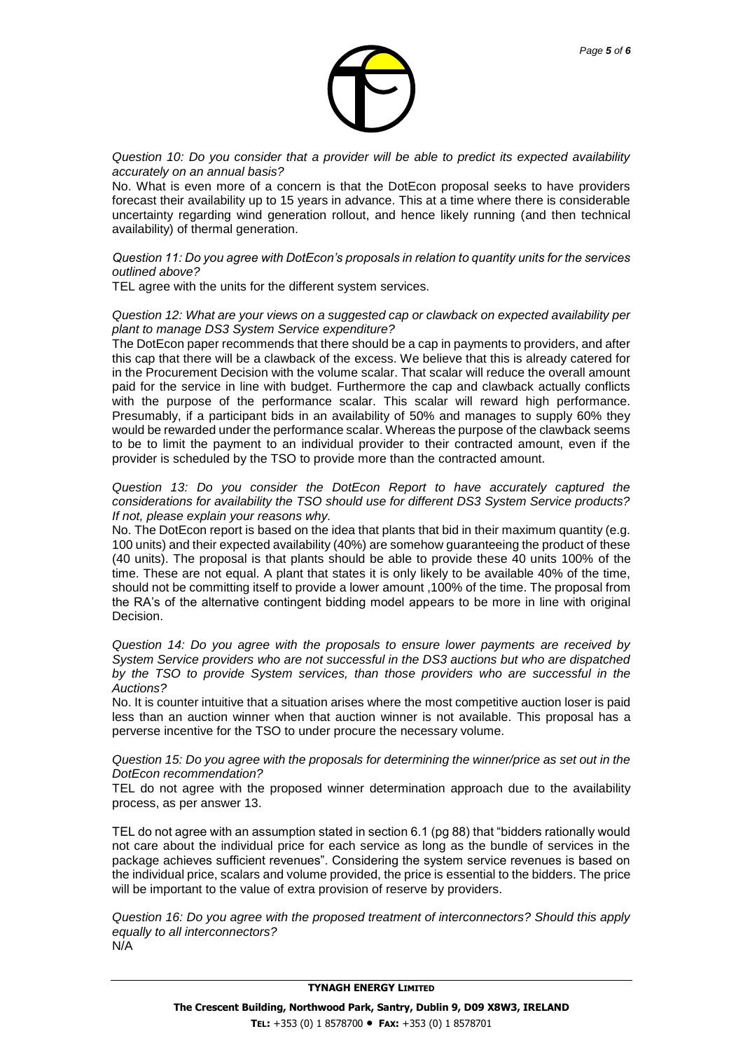

*Question 10: Do you consider that a provider will be able to predict its expected availability accurately on an annual basis?*

No. What is even more of a concern is that the DotEcon proposal seeks to have providers forecast their availability up to 15 years in advance. This at a time where there is considerable uncertainty regarding wind generation rollout, and hence likely running (and then technical availability) of thermal generation.

### *Question 11: Do you agree with DotEcon's proposals in relation to quantity units for the services outlined above?*

TEL agree with the units for the different system services.

*Question 12: What are your views on a suggested cap or clawback on expected availability per plant to manage DS3 System Service expenditure?*

The DotEcon paper recommends that there should be a cap in payments to providers, and after this cap that there will be a clawback of the excess. We believe that this is already catered for in the Procurement Decision with the volume scalar. That scalar will reduce the overall amount paid for the service in line with budget. Furthermore the cap and clawback actually conflicts with the purpose of the performance scalar. This scalar will reward high performance. Presumably, if a participant bids in an availability of 50% and manages to supply 60% they would be rewarded under the performance scalar. Whereas the purpose of the clawback seems to be to limit the payment to an individual provider to their contracted amount, even if the provider is scheduled by the TSO to provide more than the contracted amount.

#### *Question 13: Do you consider the DotEcon Report to have accurately captured the considerations for availability the TSO should use for different DS3 System Service products? If not, please explain your reasons why.*

No. The DotEcon report is based on the idea that plants that bid in their maximum quantity (e.g. 100 units) and their expected availability (40%) are somehow guaranteeing the product of these (40 units). The proposal is that plants should be able to provide these 40 units 100% of the time. These are not equal. A plant that states it is only likely to be available 40% of the time, should not be committing itself to provide a lower amount ,100% of the time. The proposal from the RA's of the alternative contingent bidding model appears to be more in line with original Decision.

*Question 14: Do you agree with the proposals to ensure lower payments are received by System Service providers who are not successful in the DS3 auctions but who are dispatched by the TSO to provide System services, than those providers who are successful in the Auctions?*

No. It is counter intuitive that a situation arises where the most competitive auction loser is paid less than an auction winner when that auction winner is not available. This proposal has a perverse incentive for the TSO to under procure the necessary volume.

#### *Question 15: Do you agree with the proposals for determining the winner/price as set out in the DotEcon recommendation?*

TEL do not agree with the proposed winner determination approach due to the availability process, as per answer 13.

TEL do not agree with an assumption stated in section 6.1 (pg 88) that "bidders rationally would not care about the individual price for each service as long as the bundle of services in the package achieves sufficient revenues". Considering the system service revenues is based on the individual price, scalars and volume provided, the price is essential to the bidders. The price will be important to the value of extra provision of reserve by providers.

*Question 16: Do you agree with the proposed treatment of interconnectors? Should this apply equally to all interconnectors?* N/A

### **TYNAGH ENERGY LIMITED**